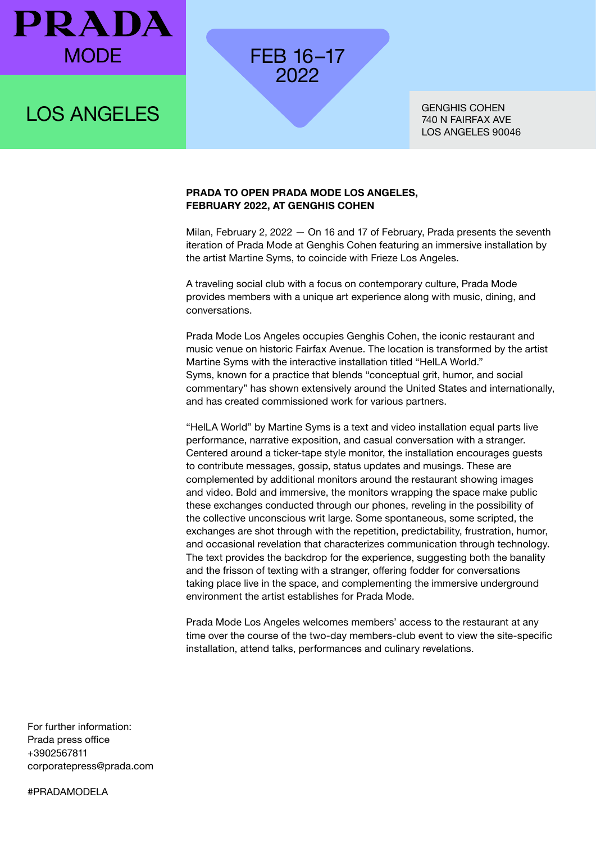

## LOS ANGELES

GENGHIS COHEN 740 N FAIRFAX AVE LOS ANGELES 90046

#### **PRADA TO OPEN PRADA MODE LOS ANGELES, FEBRUARY 2022, AT GENGHIS COHEN**

FEB 16–17 2022

Milan, February 2, 2022 — On 16 and 17 of February, Prada presents the seventh iteration of Prada Mode at Genghis Cohen featuring an immersive installation by the artist Martine Syms, to coincide with Frieze Los Angeles.

A traveling social club with a focus on contemporary culture, Prada Mode provides members with a unique art experience along with music, dining, and conversations.

Prada Mode Los Angeles occupies Genghis Cohen, the iconic restaurant and music venue on historic Fairfax Avenue. The location is transformed by the artist Martine Syms with the interactive installation titled "HelLA World." Syms, known for a practice that blends "conceptual grit, humor, and social commentary" has shown extensively around the United States and internationally, and has created commissioned work for various partners.

"HelLA World" by Martine Syms is a text and video installation equal parts live performance, narrative exposition, and casual conversation with a stranger. Centered around a ticker-tape style monitor, the installation encourages guests to contribute messages, gossip, status updates and musings. These are complemented by additional monitors around the restaurant showing images and video. Bold and immersive, the monitors wrapping the space make public these exchanges conducted through our phones, reveling in the possibility of the collective unconscious writ large. Some spontaneous, some scripted, the exchanges are shot through with the repetition, predictability, frustration, humor, and occasional revelation that characterizes communication through technology. The text provides the backdrop for the experience, suggesting both the banality and the frisson of texting with a stranger, offering fodder for conversations taking place live in the space, and complementing the immersive underground environment the artist establishes for Prada Mode.

Prada Mode Los Angeles welcomes members' access to the restaurant at any time over the course of the two-day members-club event to view the site-specific installation, attend talks, performances and culinary revelations.

For further information: Prada press office +3902567811 corporatepress@prada.com

#PRADAMODELA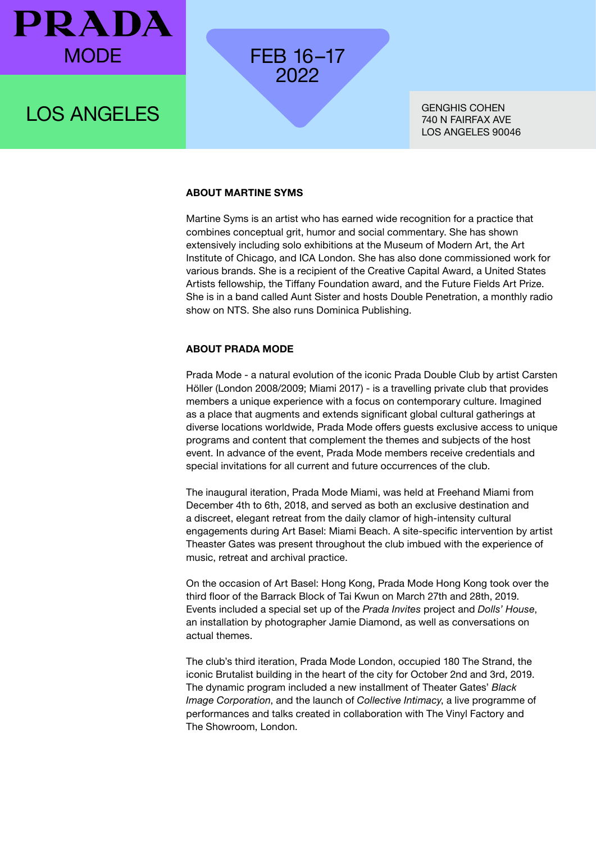

### LOS ANGELES

GENGHIS COHEN 740 N FAIRFAX AVE LOS ANGELES 90046

#### **ABOUT MARTINE SYMS**

FEB 16–17 2022

Martine Syms is an artist who has earned wide recognition for a practice that combines conceptual grit, humor and social commentary. She has shown extensively including solo exhibitions at the Museum of Modern Art, the Art Institute of Chicago, and ICA London. She has also done commissioned work for various brands. She is a recipient of the Creative Capital Award, a United States Artists fellowship, the Tiffany Foundation award, and the Future Fields Art Prize. She is in a band called Aunt Sister and hosts Double Penetration, a monthly radio show on NTS. She also runs Dominica Publishing.

#### **ABOUT PRADA MODE**

Prada Mode - a natural evolution of the iconic Prada Double Club by artist Carsten Höller (London 2008/2009; Miami 2017) - is a travelling private club that provides members a unique experience with a focus on contemporary culture. Imagined as a place that augments and extends significant global cultural gatherings at diverse locations worldwide, Prada Mode offers guests exclusive access to unique programs and content that complement the themes and subjects of the host event. In advance of the event, Prada Mode members receive credentials and special invitations for all current and future occurrences of the club.

The inaugural iteration, Prada Mode Miami, was held at Freehand Miami from December 4th to 6th, 2018, and served as both an exclusive destination and a discreet, elegant retreat from the daily clamor of high-intensity cultural engagements during Art Basel: Miami Beach. A site-specific intervention by artist Theaster Gates was present throughout the club imbued with the experience of music, retreat and archival practice.

On the occasion of Art Basel: Hong Kong, Prada Mode Hong Kong took over the third floor of the Barrack Block of Tai Kwun on March 27th and 28th, 2019. Events included a special set up of the *Prada Invites* project and *Dolls' House*, an installation by photographer Jamie Diamond, as well as conversations on actual themes.

The club's third iteration, Prada Mode London, occupied 180 The Strand, the iconic Brutalist building in the heart of the city for October 2nd and 3rd, 2019. The dynamic program included a new installment of Theater Gates' *Black Image Corporation*, and the launch of *Collective Intimacy*, a live programme of performances and talks created in collaboration with The Vinyl Factory and The Showroom, London.